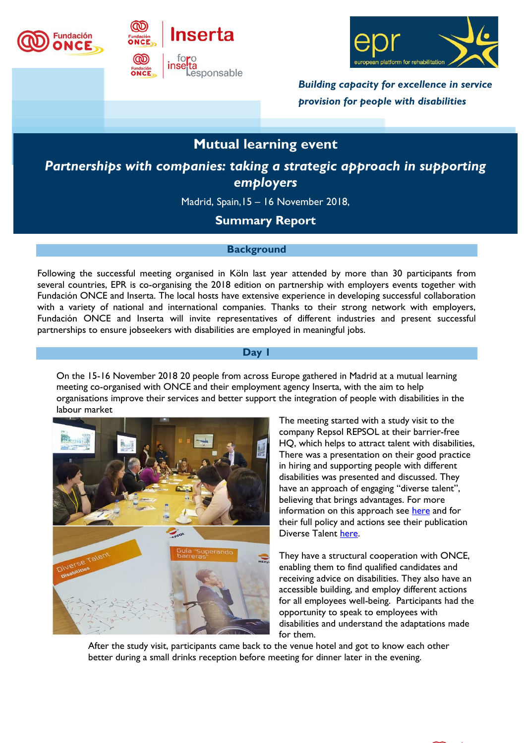





*Building capacity for excellence in service provision for people with disabilities*

# **Mutual learning event**

*Partnerships with companies: taking a strategic approach in supporting employers*

Madrid, Spain,15 – 16 November 2018,

## **Summary Report**

#### **Background**

Following the successful meeting organised in Köln last year attended by more than 30 participants from several countries, EPR is co-organising the 2018 edition on partnership with employers events together with Fundación ONCE and Inserta. The local hosts have extensive experience in developing successful collaboration with a variety of national and international companies. Thanks to their strong network with employers, Fundación ONCE and Inserta will invite representatives of different industries and present successful partnerships to ensure jobseekers with disabilities are employed in meaningful jobs.

### **Day 1**

On the 15-16 November 2018 20 people from across Europe gathered in Madrid at a mutual learning meeting co-organised with ONCE and their employment agency Inserta, with the aim to help organisations improve their services and better support the integration of people with disabilities in the labour market



The meeting started with a study visit to the company Repsol REPSOL at their barrier-free HQ, which helps to attract talent with disabilities, There was a presentation on their good practice in hiring and supporting people with different disabilities was presented and discussed. They have an approach of engaging "diverse talent", believing that brings advantages. For more information on this approach see [here](http://inside.repsol.com/we-are-powered-by-the-diversity-of-our-employees/?lang=en) and for their full policy and actions see their publication Diverse Talent [here.](https://www.repsol.com/imagenes/global/en/REPSOL_WhitePaper_accesible_EN_tcm14-32487.pdf)

They have a structural cooperation with ONCE, enabling them to find qualified candidates and receiving advice on disabilities. They also have an accessible building, and employ different actions for all employees well-being. Participants had the opportunity to speak to employees with disabilities and understand the adaptations made for them.

After the study visit, participants came back to the venue hotel and got to know each other better during a small drinks reception before meeting for dinner later in the evening.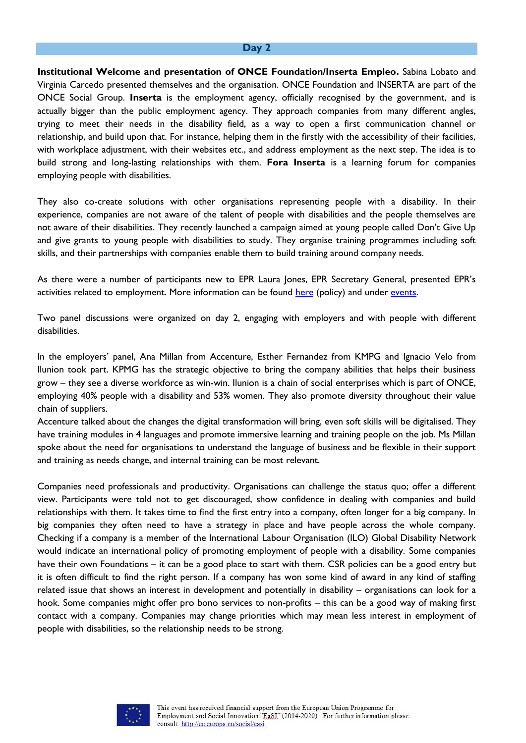#### **Day 2**

**Institutional Welcome and presentation of ONCE Foundation/Inserta Empleo.** Sabina Lobato and Virginia Carcedo presented themselves and the organisation. ONCE Foundation and INSERTA are part of the ONCE Social Group. **Inserta** is the employment agency, officially recognised by the government, and is actually bigger than the public employment agency. They approach companies from many different angles, trying to meet their needs in the disability field, as a way to open a first communication channel or relationship, and build upon that. For instance, helping them in the firstly with the accessibility of their facilities, with workplace adjustment, with their websites etc., and address employment as the next step. The idea is to build strong and long-lasting relationships with them. **Fora Inserta** is a learning forum for companies employing people with disabilities.

They also co-create solutions with other organisations representing people with a disability. In their experience, companies are not aware of the talent of people with disabilities and the people themselves are not aware of their disabilities. They recently launched a campaign aimed at young people called Don't Give Up and give grants to young people with disabilities to study. They organise training programmes including soft skills, and their partnerships with companies enable them to build training around company needs.

As there were a number of participants new to EPR Laura Jones, EPR Secretary General, presented EPR's activities related to employment. More information can be found [here](https://www.epr.eu/what-we-do/policy-analysis/employment-and-skills/) (policy) and under [events.](https://www.epr.eu/event/)

Two panel discussions were organized on day 2, engaging with employers and with people with different disabilities.

In the employers' panel, Ana Millan from Accenture, Esther Fernandez from KMPG and Ignacio Velo from Ilunion took part. KPMG has the strategic objective to bring the company abilities that helps their business grow – they see a diverse workforce as win-win. Ilunion is a chain of social enterprises which is part of ONCE, employing 40% people with a disability and 53% women. They also promote diversity throughout their value chain of suppliers.

Accenture talked about the changes the digital transformation will bring, even soft skills will be digitalised. They have training modules in 4 languages and promote immersive learning and training people on the job. Ms Millan spoke about the need for organisations to understand the language of business and be flexible in their support and training as needs change, and internal training can be most relevant.

Companies need professionals and productivity. Organisations can challenge the status quo; offer a different view. Participants were told not to get discouraged, show confidence in dealing with companies and build relationships with them. It takes time to find the first entry into a company, often longer for a big company. In big companies they often need to have a strategy in place and have people across the whole company. Checking if a company is a member of the International Labour Organisation (ILO) Global Disability Network would indicate an international policy of promoting employment of people with a disability. Some companies have their own Foundations – it can be a good place to start with them. CSR policies can be a good entry but it is often difficult to find the right person. If a company has won some kind of award in any kind of staffing related issue that shows an interest in development and potentially in disability – organisations can look for a hook. Some companies might offer pro bono services to non-profits – this can be a good way of making first contact with a company. Companies may change priorities which may mean less interest in employment of people with disabilities, so the relationship needs to be strong.